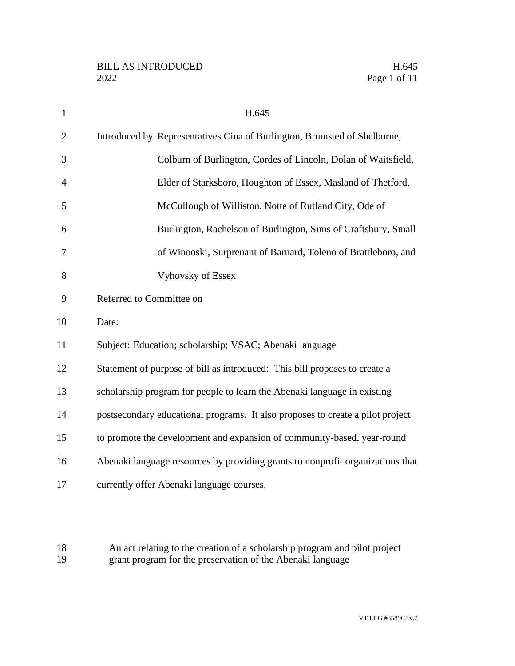| $\mathbf{1}$   | H.645                                                                          |
|----------------|--------------------------------------------------------------------------------|
| $\overline{2}$ | Introduced by Representatives Cina of Burlington, Brumsted of Shelburne,       |
| 3              | Colburn of Burlington, Cordes of Lincoln, Dolan of Waitsfield,                 |
| $\overline{4}$ | Elder of Starksboro, Houghton of Essex, Masland of Thetford,                   |
| 5              | McCullough of Williston, Notte of Rutland City, Ode of                         |
| 6              | Burlington, Rachelson of Burlington, Sims of Craftsbury, Small                 |
| $\overline{7}$ | of Winooski, Surprenant of Barnard, Toleno of Brattleboro, and                 |
| 8              | <b>Vyhovsky of Essex</b>                                                       |
| 9              | Referred to Committee on                                                       |
| 10             | Date:                                                                          |
| 11             | Subject: Education; scholarship; VSAC; Abenaki language                        |
| 12             | Statement of purpose of bill as introduced: This bill proposes to create a     |
| 13             | scholarship program for people to learn the Abenaki language in existing       |
| 14             | postsecondary educational programs. It also proposes to create a pilot project |
| 15             | to promote the development and expansion of community-based, year-round        |
| 16             | Abenaki language resources by providing grants to nonprofit organizations that |
| 17             | currently offer Abenaki language courses.                                      |

18 An act relating to the creation of a scholarship program and pilot project<br>19 grant program for the preservation of the Abenaki language grant program for the preservation of the Abenaki language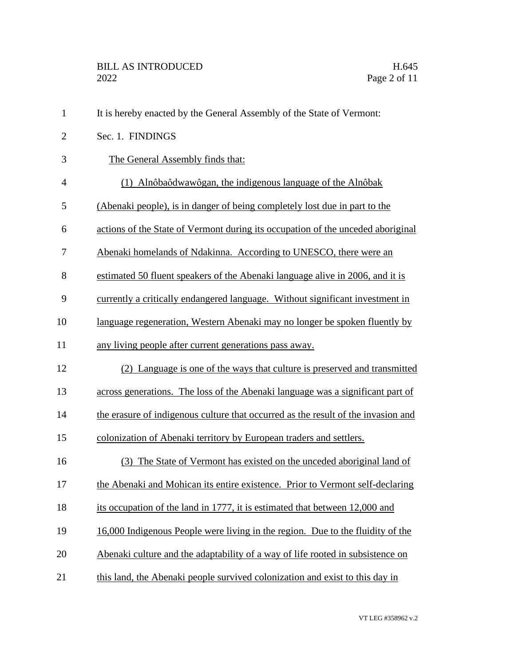| $\mathbf{1}$   | It is hereby enacted by the General Assembly of the State of Vermont:             |
|----------------|-----------------------------------------------------------------------------------|
| $\overline{2}$ | Sec. 1. FINDINGS                                                                  |
| 3              | The General Assembly finds that:                                                  |
| $\overline{4}$ | (1) Alnôbaôdwawôgan, the indigenous language of the Alnôbak                       |
| 5              | (Abenaki people), is in danger of being completely lost due in part to the        |
| 6              | actions of the State of Vermont during its occupation of the unceded aboriginal   |
| 7              | Abenaki homelands of Ndakinna. According to UNESCO, there were an                 |
| 8              | estimated 50 fluent speakers of the Abenaki language alive in 2006, and it is     |
| 9              | currently a critically endangered language. Without significant investment in     |
| 10             | language regeneration, Western Abenaki may no longer be spoken fluently by        |
| 11             | any living people after current generations pass away.                            |
| 12             | (2) Language is one of the ways that culture is preserved and transmitted         |
| 13             | across generations. The loss of the Abenaki language was a significant part of    |
| 14             | the erasure of indigenous culture that occurred as the result of the invasion and |
| 15             | colonization of Abenaki territory by European traders and settlers.               |
| 16             | (3) The State of Vermont has existed on the unceded aboriginal land of            |
| 17             | the Abenaki and Mohican its entire existence. Prior to Vermont self-declaring     |
| 18             | its occupation of the land in 1777, it is estimated that between 12,000 and       |
| 19             | 16,000 Indigenous People were living in the region. Due to the fluidity of the    |
| 20             | Abenaki culture and the adaptability of a way of life rooted in subsistence on    |
| 21             | this land, the Abenaki people survived colonization and exist to this day in      |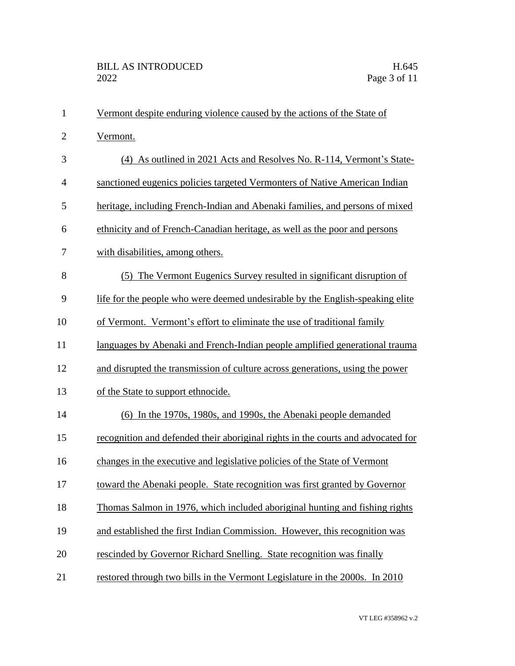| $\mathbf{1}$   | Vermont despite enduring violence caused by the actions of the State of          |
|----------------|----------------------------------------------------------------------------------|
| $\mathbf{2}$   | Vermont.                                                                         |
| 3              | (4) As outlined in 2021 Acts and Resolves No. R-114, Vermont's State-            |
| $\overline{4}$ | sanctioned eugenics policies targeted Vermonters of Native American Indian       |
| 5              | heritage, including French-Indian and Abenaki families, and persons of mixed     |
| 6              | ethnicity and of French-Canadian heritage, as well as the poor and persons       |
| 7              | with disabilities, among others.                                                 |
| 8              | (5) The Vermont Eugenics Survey resulted in significant disruption of            |
| 9              | life for the people who were deemed undesirable by the English-speaking elite    |
| 10             | of Vermont. Vermont's effort to eliminate the use of traditional family          |
| 11             | languages by Abenaki and French-Indian people amplified generational trauma      |
| 12             | and disrupted the transmission of culture across generations, using the power    |
| 13             | of the State to support ethnocide.                                               |
| 14             | (6) In the 1970s, 1980s, and 1990s, the Abenaki people demanded                  |
| 15             | recognition and defended their aboriginal rights in the courts and advocated for |
| 16             | changes in the executive and legislative policies of the State of Vermont        |
| 17             | toward the Abenaki people. State recognition was first granted by Governor       |
| 18             | Thomas Salmon in 1976, which included aboriginal hunting and fishing rights      |
| 19             | and established the first Indian Commission. However, this recognition was       |
| 20             | rescinded by Governor Richard Snelling. State recognition was finally            |
| 21             | restored through two bills in the Vermont Legislature in the 2000s. In 2010      |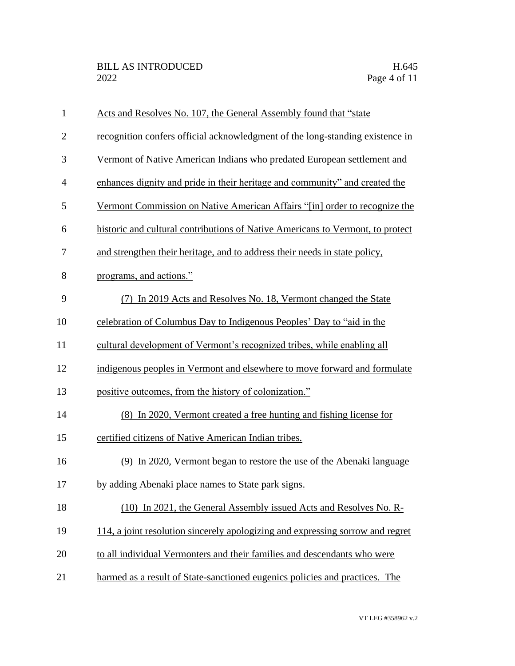| $\mathbf{1}$   | Acts and Resolves No. 107, the General Assembly found that "state"             |
|----------------|--------------------------------------------------------------------------------|
| $\overline{2}$ | recognition confers official acknowledgment of the long-standing existence in  |
| 3              | Vermont of Native American Indians who predated European settlement and        |
| $\overline{4}$ | enhances dignity and pride in their heritage and community" and created the    |
| 5              | Vermont Commission on Native American Affairs "[in] order to recognize the     |
| 6              | historic and cultural contributions of Native Americans to Vermont, to protect |
| 7              | and strengthen their heritage, and to address their needs in state policy,     |
| 8              | programs, and actions."                                                        |
| 9              | In 2019 Acts and Resolves No. 18, Vermont changed the State                    |
| 10             | celebration of Columbus Day to Indigenous Peoples' Day to "aid in the          |
| 11             | cultural development of Vermont's recognized tribes, while enabling all        |
| 12             | indigenous peoples in Vermont and elsewhere to move forward and formulate      |
| 13             | positive outcomes, from the history of colonization."                          |
| 14             | (8) In 2020, Vermont created a free hunting and fishing license for            |
| 15             | certified citizens of Native American Indian tribes.                           |
| 16             | (9) In 2020, Vermont began to restore the use of the Abenaki language          |
| 17             | by adding Abenaki place names to State park signs.                             |
| 18             | (10) In 2021, the General Assembly issued Acts and Resolves No. R-             |
| 19             | 114, a joint resolution sincerely apologizing and expressing sorrow and regret |
| 20             | to all individual Vermonters and their families and descendants who were       |
| 21             | harmed as a result of State-sanctioned eugenics policies and practices. The    |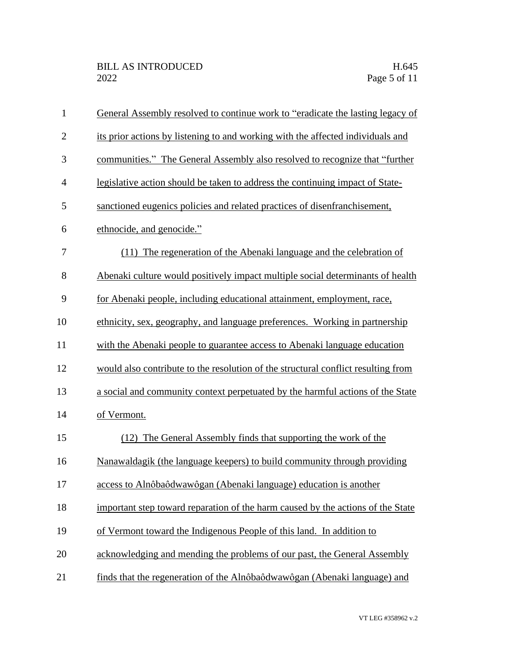| $\mathbf{1}$   | General Assembly resolved to continue work to "eradicate the lasting legacy of    |
|----------------|-----------------------------------------------------------------------------------|
| $\overline{2}$ | its prior actions by listening to and working with the affected individuals and   |
| 3              | communities." The General Assembly also resolved to recognize that "further       |
| $\overline{4}$ | legislative action should be taken to address the continuing impact of State-     |
| 5              | sanctioned eugenics policies and related practices of disenfranchisement,         |
| 6              | ethnocide, and genocide."                                                         |
| 7              | (11) The regeneration of the Abenaki language and the celebration of              |
| 8              | Abenaki culture would positively impact multiple social determinants of health    |
| 9              | for Abenaki people, including educational attainment, employment, race,           |
| 10             | ethnicity, sex, geography, and language preferences. Working in partnership       |
| 11             | with the Abenaki people to guarantee access to Abenaki language education         |
| 12             | would also contribute to the resolution of the structural conflict resulting from |
| 13             | a social and community context perpetuated by the harmful actions of the State    |
| 14             | of Vermont.                                                                       |
| 15             | (12) The General Assembly finds that supporting the work of the                   |
| 16             | Nanawaldagik (the language keepers) to build community through providing          |
| 17             | access to Alnôbaôdwawôgan (Abenaki language) education is another                 |
| 18             | important step toward reparation of the harm caused by the actions of the State   |
| 19             | of Vermont toward the Indigenous People of this land. In addition to              |
| 20             | acknowledging and mending the problems of our past, the General Assembly          |
| 21             | finds that the regeneration of the Alnôbaôdwawôgan (Abenaki language) and         |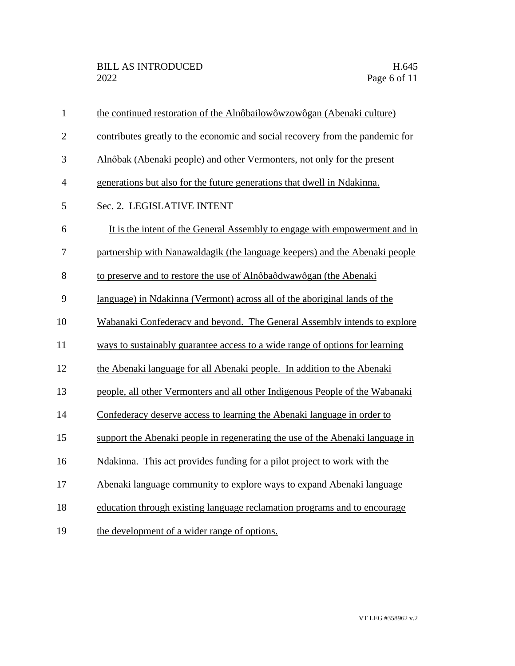| $\mathbf{1}$   | the continued restoration of the Alnôbailowôwzowôgan (Abenaki culture)        |
|----------------|-------------------------------------------------------------------------------|
| $\overline{2}$ | contributes greatly to the economic and social recovery from the pandemic for |
| 3              | Alnôbak (Abenaki people) and other Vermonters, not only for the present       |
| $\overline{4}$ | generations but also for the future generations that dwell in Ndakinna.       |
| 5              | Sec. 2. LEGISLATIVE INTENT                                                    |
| 6              | It is the intent of the General Assembly to engage with empowerment and in    |
| $\tau$         | partnership with Nanawaldagik (the language keepers) and the Abenaki people   |
| 8              | to preserve and to restore the use of Alnôbaôdwawôgan (the Abenaki            |
| 9              | language) in Ndakinna (Vermont) across all of the aboriginal lands of the     |
| 10             | Wabanaki Confederacy and beyond. The General Assembly intends to explore      |
| 11             | ways to sustainably guarantee access to a wide range of options for learning  |
| 12             | the Abenaki language for all Abenaki people. In addition to the Abenaki       |
| 13             | people, all other Vermonters and all other Indigenous People of the Wabanaki  |
| 14             | Confederacy deserve access to learning the Abenaki language in order to       |
| 15             | support the Abenaki people in regenerating the use of the Abenaki language in |
| 16             | Ndakinna. This act provides funding for a pilot project to work with the      |
| 17             | Abenaki language community to explore ways to expand Abenaki language         |
| 18             | education through existing language reclamation programs and to encourage     |
| 19             | the development of a wider range of options.                                  |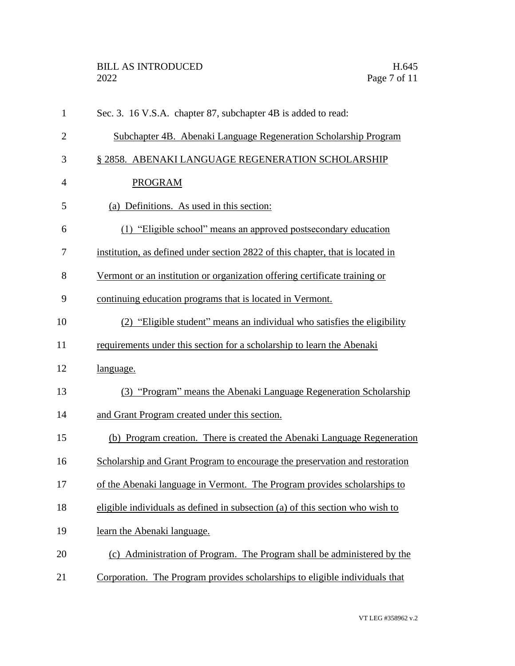| $\mathbf{1}$   | Sec. 3. 16 V.S.A. chapter 87, subchapter 4B is added to read:                  |
|----------------|--------------------------------------------------------------------------------|
| $\overline{2}$ | Subchapter 4B. Abenaki Language Regeneration Scholarship Program               |
| 3              | § 2858. ABENAKI LANGUAGE REGENERATION SCHOLARSHIP                              |
| $\overline{4}$ | <b>PROGRAM</b>                                                                 |
| 5              | (a) Definitions. As used in this section:                                      |
| 6              | (1) "Eligible school" means an approved postsecondary education                |
| 7              | institution, as defined under section 2822 of this chapter, that is located in |
| 8              | Vermont or an institution or organization offering certificate training or     |
| 9              | continuing education programs that is located in Vermont.                      |
| 10             | (2) "Eligible student" means an individual who satisfies the eligibility       |
| 11             | requirements under this section for a scholarship to learn the Abenaki         |
| 12             | language.                                                                      |
| 13             | (3) "Program" means the Abenaki Language Regeneration Scholarship              |
| 14             | and Grant Program created under this section.                                  |
| 15             | (b) Program creation. There is created the Abenaki Language Regeneration       |
| 16             | Scholarship and Grant Program to encourage the preservation and restoration    |
| 17             | of the Abenaki language in Vermont. The Program provides scholarships to       |
| 18             | eligible individuals as defined in subsection (a) of this section who wish to  |
| 19             | learn the Abenaki language.                                                    |
| 20             | (c) Administration of Program. The Program shall be administered by the        |
| 21             | Corporation. The Program provides scholarships to eligible individuals that    |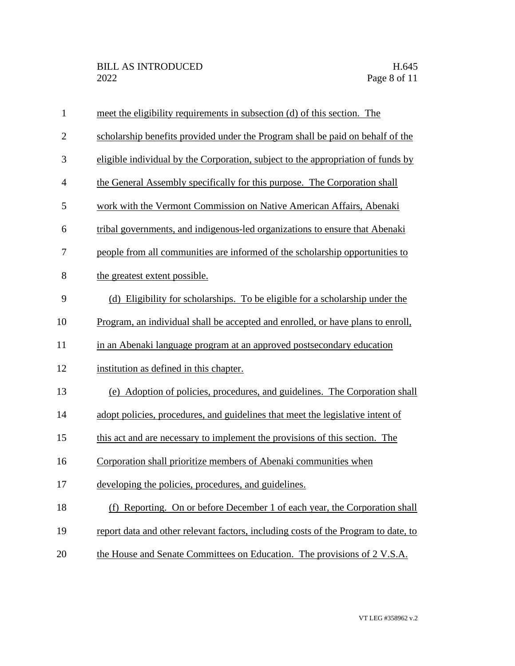| $\mathbf{1}$   | meet the eligibility requirements in subsection (d) of this section. The           |
|----------------|------------------------------------------------------------------------------------|
| $\overline{2}$ | scholarship benefits provided under the Program shall be paid on behalf of the     |
| 3              | eligible individual by the Corporation, subject to the appropriation of funds by   |
| $\overline{4}$ | the General Assembly specifically for this purpose. The Corporation shall          |
| 5              | work with the Vermont Commission on Native American Affairs, Abenaki               |
| 6              | tribal governments, and indigenous-led organizations to ensure that Abenaki        |
| 7              | people from all communities are informed of the scholarship opportunities to       |
| 8              | the greatest extent possible.                                                      |
| 9              | (d) Eligibility for scholarships. To be eligible for a scholarship under the       |
| 10             | Program, an individual shall be accepted and enrolled, or have plans to enroll,    |
| 11             | in an Abenaki language program at an approved postsecondary education              |
| 12             | institution as defined in this chapter.                                            |
| 13             | (e) Adoption of policies, procedures, and guidelines. The Corporation shall        |
| 14             | adopt policies, procedures, and guidelines that meet the legislative intent of     |
| 15             | this act and are necessary to implement the provisions of this section. The        |
| 16             | Corporation shall prioritize members of Abenaki communities when                   |
| 17             | developing the policies, procedures, and guidelines.                               |
| 18             | Reporting. On or before December 1 of each year, the Corporation shall<br>(f)      |
| 19             | report data and other relevant factors, including costs of the Program to date, to |
| 20             | the House and Senate Committees on Education. The provisions of 2 V.S.A.           |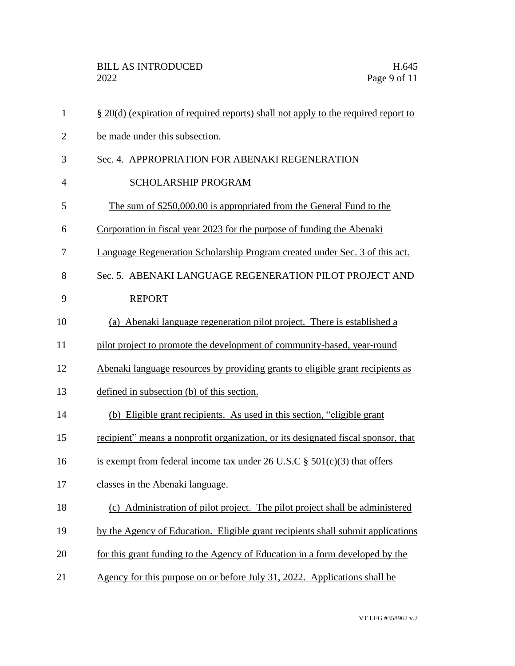| $\mathbf{1}$   | § 20(d) (expiration of required reports) shall not apply to the required report to |
|----------------|------------------------------------------------------------------------------------|
| $\overline{2}$ | be made under this subsection.                                                     |
| 3              | Sec. 4. APPROPRIATION FOR ABENAKI REGENERATION                                     |
| $\overline{4}$ | <b>SCHOLARSHIP PROGRAM</b>                                                         |
| 5              | The sum of \$250,000.00 is appropriated from the General Fund to the               |
| 6              | Corporation in fiscal year 2023 for the purpose of funding the Abenaki             |
| 7              | Language Regeneration Scholarship Program created under Sec. 3 of this act.        |
| 8              | Sec. 5. ABENAKI LANGUAGE REGENERATION PILOT PROJECT AND                            |
| 9              | <b>REPORT</b>                                                                      |
| 10             | (a) Abenaki language regeneration pilot project. There is established a            |
| 11             | pilot project to promote the development of community-based, year-round            |
| 12             | Abenaki language resources by providing grants to eligible grant recipients as     |
| 13             | defined in subsection (b) of this section.                                         |
| 14             | (b) Eligible grant recipients. As used in this section, "eligible grant"           |
| 15             | recipient" means a nonprofit organization, or its designated fiscal sponsor, that  |
| 16             | is exempt from federal income tax under 26 U.S.C $\S$ 501(c)(3) that offers        |
| 17             | classes in the Abenaki language.                                                   |
| 18             | (c) Administration of pilot project. The pilot project shall be administered       |
| 19             | by the Agency of Education. Eligible grant recipients shall submit applications    |
| 20             | for this grant funding to the Agency of Education in a form developed by the       |
| 21             | Agency for this purpose on or before July 31, 2022. Applications shall be          |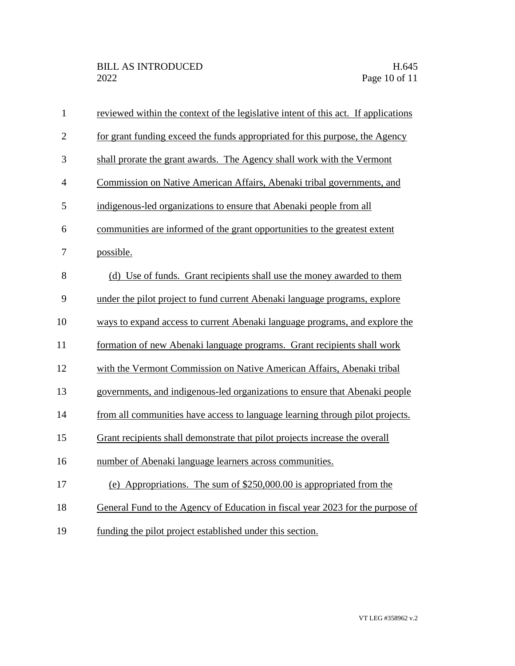| $\mathbf{1}$   | reviewed within the context of the legislative intent of this act. If applications |
|----------------|------------------------------------------------------------------------------------|
| $\overline{2}$ | for grant funding exceed the funds appropriated for this purpose, the Agency       |
| 3              | shall prorate the grant awards. The Agency shall work with the Vermont             |
| $\overline{4}$ | Commission on Native American Affairs, Abenaki tribal governments, and             |
| 5              | indigenous-led organizations to ensure that Abenaki people from all                |
| 6              | communities are informed of the grant opportunities to the greatest extent         |
| 7              | possible.                                                                          |
| 8              | (d) Use of funds. Grant recipients shall use the money awarded to them             |
| 9              | under the pilot project to fund current Abenaki language programs, explore         |
| 10             | ways to expand access to current Abenaki language programs, and explore the        |
| 11             | formation of new Abenaki language programs. Grant recipients shall work            |
| 12             | with the Vermont Commission on Native American Affairs, Abenaki tribal             |
| 13             | governments, and indigenous-led organizations to ensure that Abenaki people        |
| 14             | from all communities have access to language learning through pilot projects.      |
| 15             | Grant recipients shall demonstrate that pilot projects increase the overall        |
| 16             | number of Abenaki language learners across communities.                            |
| 17             | (e) Appropriations. The sum of $$250,000.00$ is appropriated from the              |
| 18             | General Fund to the Agency of Education in fiscal year 2023 for the purpose of     |
| 19             | funding the pilot project established under this section.                          |